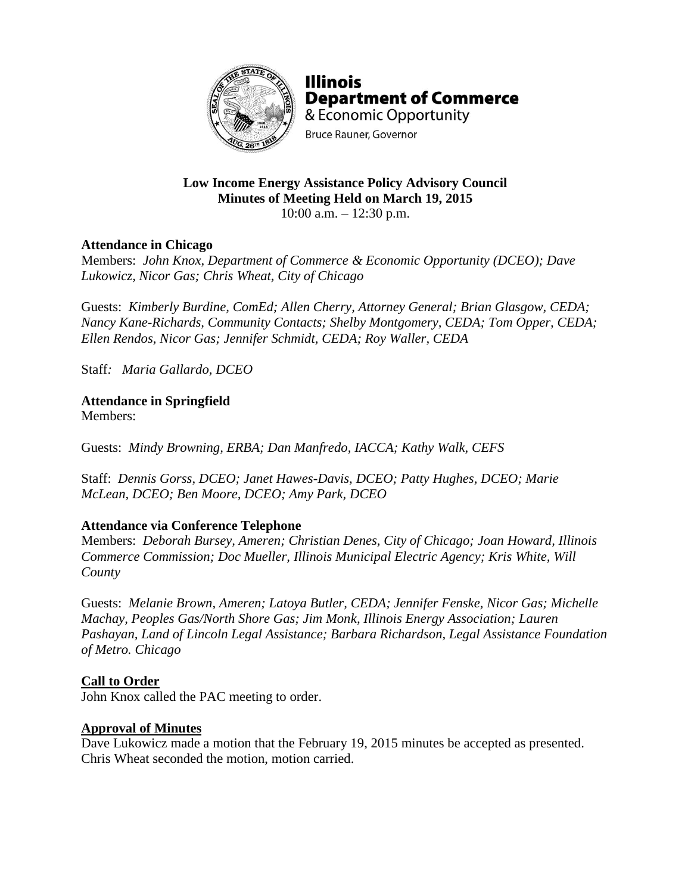

**Illinois Department of Commerce** & Economic Opportunity **Bruce Rauner, Governor** 

# **Low Income Energy Assistance Policy Advisory Council Minutes of Meeting Held on March 19, 2015**

10:00 a.m. – 12:30 p.m.

# **Attendance in Chicago**

Members: *John Knox, Department of Commerce & Economic Opportunity (DCEO); Dave Lukowicz, Nicor Gas; Chris Wheat, City of Chicago*

Guests: *Kimberly Burdine, ComEd; Allen Cherry, Attorney General; Brian Glasgow, CEDA; Nancy Kane-Richards, Community Contacts; Shelby Montgomery, CEDA; Tom Opper, CEDA; Ellen Rendos, Nicor Gas; Jennifer Schmidt, CEDA; Roy Waller, CEDA*

Staff*: Maria Gallardo, DCEO*

**Attendance in Springfield**

Members:

Guests: *Mindy Browning, ERBA; Dan Manfredo, IACCA; Kathy Walk, CEFS*

Staff: *Dennis Gorss, DCEO; Janet Hawes-Davis, DCEO; Patty Hughes, DCEO; Marie McLean, DCEO; Ben Moore, DCEO; Amy Park, DCEO*

# **Attendance via Conference Telephone**

Members: *Deborah Bursey, Ameren; Christian Denes, City of Chicago; Joan Howard, Illinois Commerce Commission; Doc Mueller, Illinois Municipal Electric Agency; Kris White, Will County* 

Guests: *Melanie Brown, Ameren; Latoya Butler, CEDA; Jennifer Fenske, Nicor Gas; Michelle Machay, Peoples Gas/North Shore Gas; Jim Monk, Illinois Energy Association; Lauren Pashayan, Land of Lincoln Legal Assistance; Barbara Richardson, Legal Assistance Foundation of Metro. Chicago*

## **Call to Order**

John Knox called the PAC meeting to order.

## **Approval of Minutes**

Dave Lukowicz made a motion that the February 19, 2015 minutes be accepted as presented. Chris Wheat seconded the motion, motion carried.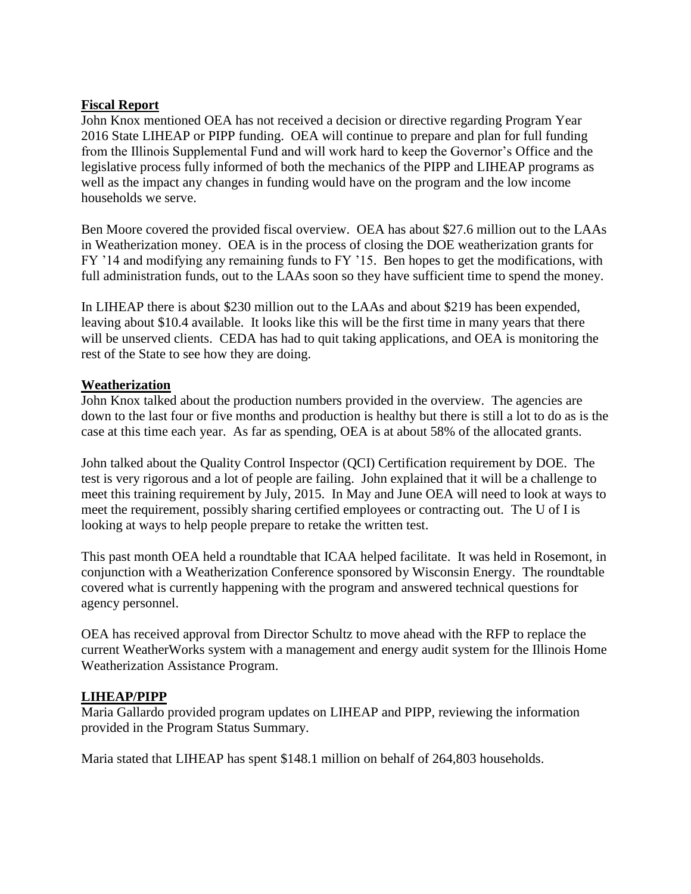## **Fiscal Report**

John Knox mentioned OEA has not received a decision or directive regarding Program Year 2016 State LIHEAP or PIPP funding. OEA will continue to prepare and plan for full funding from the Illinois Supplemental Fund and will work hard to keep the Governor's Office and the legislative process fully informed of both the mechanics of the PIPP and LIHEAP programs as well as the impact any changes in funding would have on the program and the low income households we serve.

Ben Moore covered the provided fiscal overview. OEA has about \$27.6 million out to the LAAs in Weatherization money. OEA is in the process of closing the DOE weatherization grants for FY '14 and modifying any remaining funds to FY '15. Ben hopes to get the modifications, with full administration funds, out to the LAAs soon so they have sufficient time to spend the money.

In LIHEAP there is about \$230 million out to the LAAs and about \$219 has been expended, leaving about \$10.4 available. It looks like this will be the first time in many years that there will be unserved clients. CEDA has had to quit taking applications, and OEA is monitoring the rest of the State to see how they are doing.

## **Weatherization**

John Knox talked about the production numbers provided in the overview. The agencies are down to the last four or five months and production is healthy but there is still a lot to do as is the case at this time each year. As far as spending, OEA is at about 58% of the allocated grants.

John talked about the Quality Control Inspector (QCI) Certification requirement by DOE. The test is very rigorous and a lot of people are failing. John explained that it will be a challenge to meet this training requirement by July, 2015. In May and June OEA will need to look at ways to meet the requirement, possibly sharing certified employees or contracting out. The U of I is looking at ways to help people prepare to retake the written test.

This past month OEA held a roundtable that ICAA helped facilitate. It was held in Rosemont, in conjunction with a Weatherization Conference sponsored by Wisconsin Energy. The roundtable covered what is currently happening with the program and answered technical questions for agency personnel.

OEA has received approval from Director Schultz to move ahead with the RFP to replace the current WeatherWorks system with a management and energy audit system for the Illinois Home Weatherization Assistance Program.

# **LIHEAP/PIPP**

Maria Gallardo provided program updates on LIHEAP and PIPP, reviewing the information provided in the Program Status Summary.

Maria stated that LIHEAP has spent \$148.1 million on behalf of 264,803 households.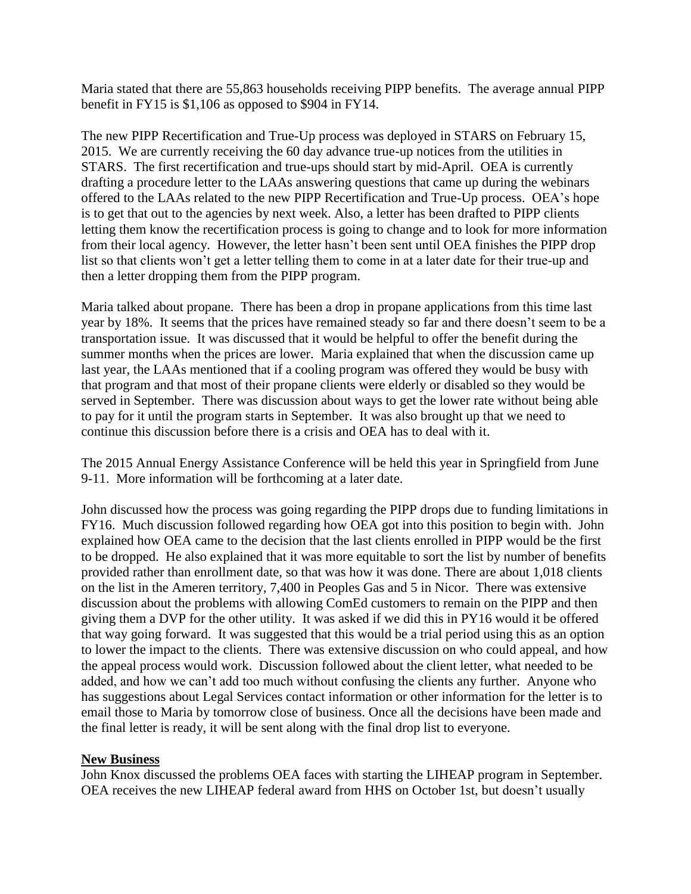Maria stated that there are 55,863 households receiving PIPP benefits. The average annual PIPP benefit in FY15 is \$1,106 as opposed to \$904 in FY14.

The new PIPP Recertification and True-Up process was deployed in STARS on February 15, 2015. We are currently receiving the 60 day advance true-up notices from the utilities in STARS. The first recertification and true-ups should start by mid-April. OEA is currently drafting a procedure letter to the LAAs answering questions that came up during the webinars offered to the LAAs related to the new PIPP Recertification and True-Up process. OEA's hope is to get that out to the agencies by next week. Also, a letter has been drafted to PIPP clients letting them know the recertification process is going to change and to look for more information from their local agency. However, the letter hasn't been sent until OEA finishes the PIPP drop list so that clients won't get a letter telling them to come in at a later date for their true-up and then a letter dropping them from the PIPP program.

Maria talked about propane. There has been a drop in propane applications from this time last year by 18%. It seems that the prices have remained steady so far and there doesn't seem to be a transportation issue. It was discussed that it would be helpful to offer the benefit during the summer months when the prices are lower. Maria explained that when the discussion came up last year, the LAAs mentioned that if a cooling program was offered they would be busy with that program and that most of their propane clients were elderly or disabled so they would be served in September. There was discussion about ways to get the lower rate without being able to pay for it until the program starts in September. It was also brought up that we need to continue this discussion before there is a crisis and OEA has to deal with it.

The 2015 Annual Energy Assistance Conference will be held this year in Springfield from June 9-11. More information will be forthcoming at a later date.

John discussed how the process was going regarding the PIPP drops due to funding limitations in FY16. Much discussion followed regarding how OEA got into this position to begin with. John explained how OEA came to the decision that the last clients enrolled in PIPP would be the first to be dropped. He also explained that it was more equitable to sort the list by number of benefits provided rather than enrollment date, so that was how it was done. There are about 1,018 clients on the list in the Ameren territory, 7,400 in Peoples Gas and 5 in Nicor. There was extensive discussion about the problems with allowing ComEd customers to remain on the PIPP and then giving them a DVP for the other utility. It was asked if we did this in PY16 would it be offered that way going forward. It was suggested that this would be a trial period using this as an option to lower the impact to the clients. There was extensive discussion on who could appeal, and how the appeal process would work. Discussion followed about the client letter, what needed to be added, and how we can't add too much without confusing the clients any further. Anyone who has suggestions about Legal Services contact information or other information for the letter is to email those to Maria by tomorrow close of business. Once all the decisions have been made and the final letter is ready, it will be sent along with the final drop list to everyone.

## **New Business**

John Knox discussed the problems OEA faces with starting the LIHEAP program in September. OEA receives the new LIHEAP federal award from HHS on October 1st, but doesn't usually